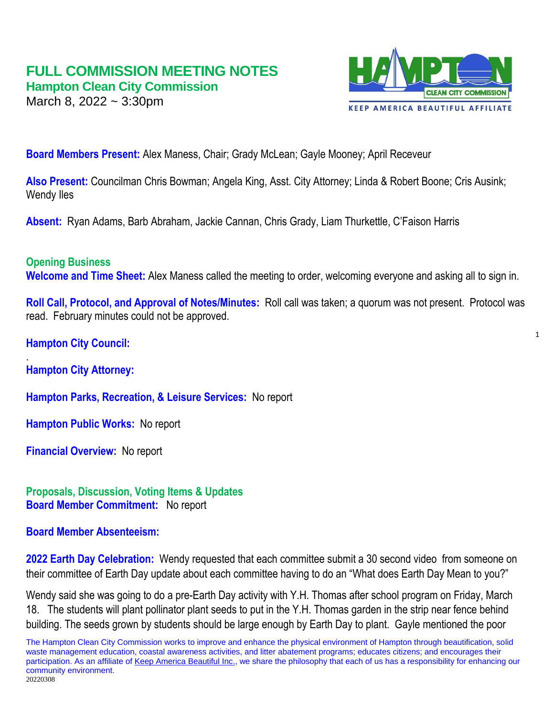# **FULL COMMISSION MEETING NOTES Hampton Clean City Commission**

March 8, 2022 ~ 3:30pm



1

**Board Members Present:** Alex Maness, Chair; Grady McLean; Gayle Mooney; April Receveur

**Also Present:** Councilman Chris Bowman; Angela King, Asst. City Attorney; Linda & Robert Boone; Cris Ausink; Wendy Iles

**Absent:** Ryan Adams, Barb Abraham, Jackie Cannan, Chris Grady, Liam Thurkettle, C'Faison Harris

## **Opening Business**

**Welcome and Time Sheet:** Alex Maness called the meeting to order, welcoming everyone and asking all to sign in.

**Roll Call, Protocol, and Approval of Notes/Minutes:** Roll call was taken; a quorum was not present. Protocol was read. February minutes could not be approved.

**Hampton City Council:** 

. **Hampton City Attorney:**

**Hampton Parks, Recreation, & Leisure Services:** No report

**Hampton Public Works:** No report

**Financial Overview:** No report

**Proposals, Discussion, Voting Items & Updates Board Member Commitment:** No report

## **Board Member Absenteeism:**

**2022 Earth Day Celebration:** Wendy requested that each committee submit a 30 second video from someone on their committee of Earth Day update about each committee having to do an "What does Earth Day Mean to you?"

Wendy said she was going to do a pre-Earth Day activity with Y.H. Thomas after school program on Friday, March 18. The students will plant pollinator plant seeds to put in the Y.H. Thomas garden in the strip near fence behind building. The seeds grown by students should be large enough by Earth Day to plant. Gayle mentioned the poor

The Hampton Clean City Commission works to improve and enhance the physical environment of Hampton through beautification, solid waste management education, coastal awareness activities, and litter abatement programs; educates citizens; and encourages their participation. As an affiliate of [Keep America Beautiful Inc.,](http://www.kab.org/) we share the philosophy that each of us has a responsibility for enhancing our community environment.

20220308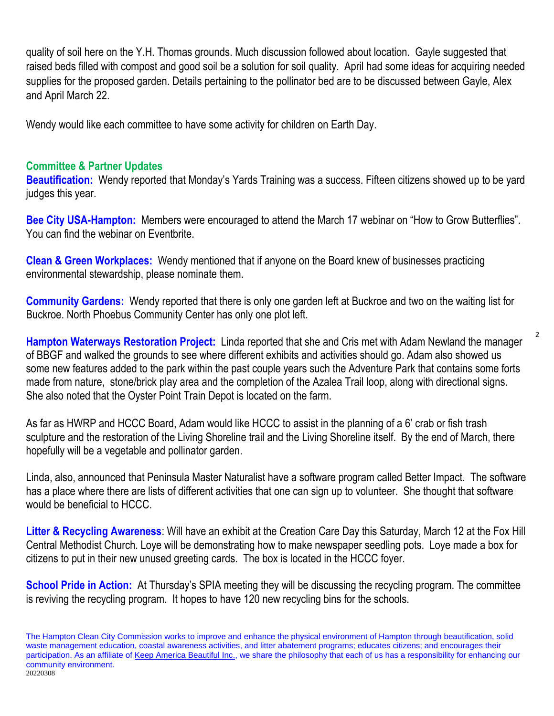quality of soil here on the Y.H. Thomas grounds. Much discussion followed about location. Gayle suggested that raised beds filled with compost and good soil be a solution for soil quality. April had some ideas for acquiring needed supplies for the proposed garden. Details pertaining to the pollinator bed are to be discussed between Gayle, Alex and April March 22.

Wendy would like each committee to have some activity for children on Earth Day.

# **Committee & Partner Updates**

**Beautification:** Wendy reported that Monday's Yards Training was a success. Fifteen citizens showed up to be yard judges this year.

**Bee City USA-Hampton:** Members were encouraged to attend the March 17 webinar on "How to Grow Butterflies". You can find the webinar on Eventbrite.

**Clean & Green Workplaces:** Wendy mentioned that if anyone on the Board knew of businesses practicing environmental stewardship, please nominate them.

**Community Gardens:** Wendy reported that there is only one garden left at Buckroe and two on the waiting list for Buckroe. North Phoebus Community Center has only one plot left.

**Hampton Waterways Restoration Project:** Linda reported that she and Cris met with Adam Newland the manager of BBGF and walked the grounds to see where different exhibits and activities should go. Adam also showed us some new features added to the park within the past couple years such the Adventure Park that contains some forts made from nature, stone/brick play area and the completion of the Azalea Trail loop, along with directional signs. She also noted that the Oyster Point Train Depot is located on the farm.

2

As far as HWRP and HCCC Board, Adam would like HCCC to assist in the planning of a 6' crab or fish trash sculpture and the restoration of the Living Shoreline trail and the Living Shoreline itself. By the end of March, there hopefully will be a vegetable and pollinator garden.

Linda, also, announced that Peninsula Master Naturalist have a software program called Better Impact. The software has a place where there are lists of different activities that one can sign up to volunteer. She thought that software would be beneficial to HCCC.

**Litter & Recycling Awareness**: Will have an exhibit at the Creation Care Day this Saturday, March 12 at the Fox Hill Central Methodist Church. Loye will be demonstrating how to make newspaper seedling pots. Loye made a box for citizens to put in their new unused greeting cards. The box is located in the HCCC foyer.

**School Pride in Action:** At Thursday's SPIA meeting they will be discussing the recycling program. The committee is reviving the recycling program. It hopes to have 120 new recycling bins for the schools.

The Hampton Clean City Commission works to improve and enhance the physical environment of Hampton through beautification, solid waste management education, coastal awareness activities, and litter abatement programs; educates citizens; and encourages their participation. As an affiliate of [Keep America Beautiful Inc.,](http://www.kab.org/) we share the philosophy that each of us has a responsibility for enhancing our community environment. 20220308